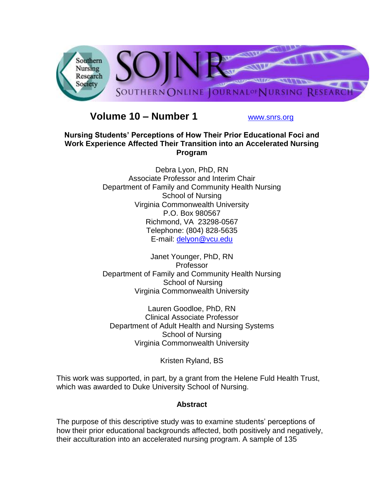

# **Volume 10 – Number 1** [www.snrs.org](http://www.snrs.org/)

# **Nursing Students' Perceptions of How Their Prior Educational Foci and Work Experience Affected Their Transition into an Accelerated Nursing Program**

Debra Lyon, PhD, RN Associate Professor and Interim Chair Department of Family and Community Health Nursing School of Nursing Virginia Commonwealth University P.O. Box 980567 Richmond, VA 23298-0567 Telephone: (804) 828-5635 E-mail: [delyon@vcu.edu](mailto:delyon@vcu.edu)

Janet Younger, PhD, RN Professor Department of Family and Community Health Nursing School of Nursing Virginia Commonwealth University

Lauren Goodloe, PhD, RN Clinical Associate Professor Department of Adult Health and Nursing Systems School of Nursing Virginia Commonwealth University

Kristen Ryland, BS

This work was supported, in part, by a grant from the Helene Fuld Health Trust, which was awarded to Duke University School of Nursing.

# **Abstract**

The purpose of this descriptive study was to examine students' perceptions of how their prior educational backgrounds affected, both positively and negatively, their acculturation into an accelerated nursing program. A sample of 135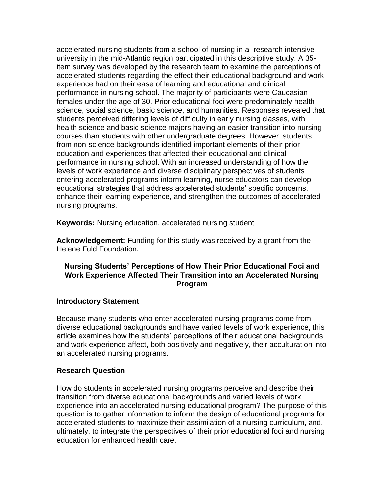accelerated nursing students from a school of nursing in a research intensive university in the mid-Atlantic region participated in this descriptive study. A 35 item survey was developed by the research team to examine the perceptions of accelerated students regarding the effect their educational background and work experience had on their ease of learning and educational and clinical performance in nursing school. The majority of participants were Caucasian females under the age of 30. Prior educational foci were predominately health science, social science, basic science, and humanities. Responses revealed that students perceived differing levels of difficulty in early nursing classes, with health science and basic science majors having an easier transition into nursing courses than students with other undergraduate degrees. However, students from non-science backgrounds identified important elements of their prior education and experiences that affected their educational and clinical performance in nursing school. With an increased understanding of how the levels of work experience and diverse disciplinary perspectives of students entering accelerated programs inform learning, nurse educators can develop educational strategies that address accelerated students' specific concerns, enhance their learning experience, and strengthen the outcomes of accelerated nursing programs.

**Keywords:** Nursing education, accelerated nursing student

**Acknowledgement:** Funding for this study was received by a grant from the Helene Fuld Foundation.

# **Nursing Students' Perceptions of How Their Prior Educational Foci and Work Experience Affected Their Transition into an Accelerated Nursing Program**

### **Introductory Statement**

Because many students who enter accelerated nursing programs come from diverse educational backgrounds and have varied levels of work experience, this article examines how the students' perceptions of their educational backgrounds and work experience affect, both positively and negatively, their acculturation into an accelerated nursing programs.

### **Research Question**

How do students in accelerated nursing programs perceive and describe their transition from diverse educational backgrounds and varied levels of work experience into an accelerated nursing educational program? The purpose of this question is to gather information to inform the design of educational programs for accelerated students to maximize their assimilation of a nursing curriculum, and, ultimately, to integrate the perspectives of their prior educational foci and nursing education for enhanced health care.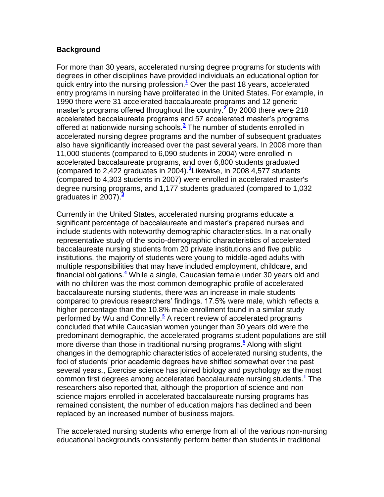## **Background**

For more than 30 years, accelerated nursing degree programs for students with degrees in other disciplines have provided individuals an educational option for quick entry into the nursing profession.**[1](http://snrs.org/publications/SOJNR_articles2/n)** Over the past 18 years, accelerated entry programs in nursing have proliferated in the United States. For example, in 1990 there were 31 accelerated baccalaureate programs and 12 generic master's programs offered throughout the country.**[2](http://snrs.org/publications/SOJNR_articles2/n)** By 2008 there were 218 accelerated baccalaureate programs and 57 accelerated master's programs offered at nationwide nursing schools.**[3](http://snrs.org/publications/SOJNR_articles2/n)** The number of students enrolled in accelerated nursing degree programs and the number of subsequent graduates also have significantly increased over the past several years. In 2008 more than 11,000 students (compared to 6,090 students in 2004) were enrolled in accelerated baccalaureate programs, and over 6,800 students graduated (compared to 2,422 graduates in 2004).**[3](http://snrs.org/publications/SOJNR_articles2/n)** Likewise, in 2008 4,577 students (compared to 4,303 students in 2007) were enrolled in accelerated master's degree nursing programs, and 1,177 students graduated (compared to 1,032 graduates in 2007).**[3](http://snrs.org/publications/SOJNR_articles2/n)**

Currently in the United States, accelerated nursing programs educate a significant percentage of baccalaureate and master's prepared nurses and include students with noteworthy demographic characteristics. In a nationally representative study of the socio-demographic characteristics of accelerated baccalaureate nursing students from 20 private institutions and five public institutions, the majority of students were young to middle-aged adults with multiple responsibilities that may have included employment, childcare, and financial obligations.**[4](http://snrs.org/publications/SOJNR_articles2/n)** While a single, Caucasian female under 30 years old and with no children was the most common demographic profile of accelerated baccalaureate nursing students, there was an increase in male students compared to previous researchers' findings. 17.5% were male, which reflects a higher percentage than the 10.8% male enrollment found in a similar study performed by Wu and Connelly[.](http://snrs.org/publications/SOJNR_articles2/n)**<sup>5</sup>** A recent review of accelerated programs concluded that while Caucasian women younger than 30 years old were the predominant demographic, the accelerated programs student populations are still more diverse than those in traditional nursing programs.**[6](http://snrs.org/publications/SOJNR_articles2/n)** Along with slight changes in the demographic characteristics of accelerated nursing students, the foci of students' prior academic degrees have shifted somewhat over the past several years., Exercise science has joined biology and psychology as the most common first degrees among accelerated baccalaureate nursing students.**[1](http://snrs.org/publications/SOJNR_articles2/n)** The researchers also reported that, although the proportion of science and nonscience majors enrolled in accelerated baccalaureate nursing programs has remained consistent, the number of education majors has declined and been replaced by an increased number of business majors.

The accelerated nursing students who emerge from all of the various non-nursing educational backgrounds consistently perform better than students in traditional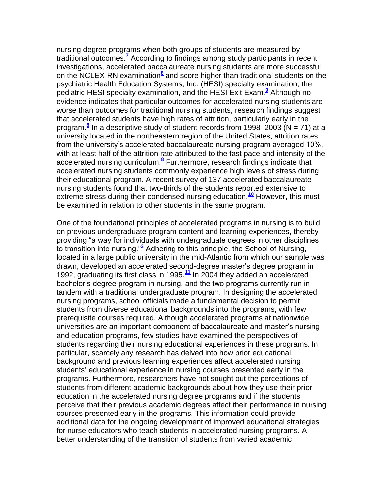nursing degree programs when both groups of students are measured by traditional outcomes[.](http://snrs.org/publications/SOJNR_articles2/n)**<sup>7</sup>** According to findings among study participants in recent investigations, accelerated baccalaureate nursing students are more successful on the NCLEX-RN examination<sup>[8](http://snrs.org/publications/SOJNR_articles2/n)</sup> and score higher than traditional students on the psychiatric Health Education Systems, Inc. (HESI) specialty examination, the pediatric HESI specialty examination, and the HESI Exit Exam.**[9](http://snrs.org/publications/SOJNR_articles2/n)** Although no evidence indicates that particular outcomes for accelerated nursing students are worse than outcomes for traditional nursing students, research findings suggest that accelerated students have high rates of attrition, particularly early in the program.**[8](http://snrs.org/publications/SOJNR_articles2/n)** In a descriptive study of student records from 1998–2003 (N = 71) at a university located in the northeastern region of the United States, attrition rates from the university's accelerated baccalaureate nursing program averaged 10%, with at least half of the attrition rate attributed to the fast pace and intensity of the accelerated nursing curriculum.**[8](http://snrs.org/publications/SOJNR_articles2/n)** Furthermore, research findings indicate that accelerated nursing students commonly experience high levels of stress during their educational program. A recent survey of 137 accelerated baccalaureate nursing students found that two-thirds of the students reported extensive to extreme stress during their condensed nursing education.**[10](http://snrs.org/publications/SOJNR_articles2/n)** However, this must be examined in relation to other students in the same program.

One of the foundational principles of accelerated programs in nursing is to build on previous undergraduate program content and learning experiences, thereby providing "a way for individuals with undergraduate degrees in other disciplines to transition into nursing.<sup>"3</sup> Adhering to this principle, the School of Nursing, located in a large public university in the mid-Atlantic from which our sample was drawn, developed an accelerated second-degree master's degree program in 1992, graduating its first class in 1995.**[11](http://snrs.org/publications/SOJNR_articles2/n)** In 2004 they added an accelerated bachelor's degree program in nursing, and the two programs currently run in tandem with a traditional undergraduate program. In designing the accelerated nursing programs, school officials made a fundamental decision to permit students from diverse educational backgrounds into the programs, with few prerequisite courses required. Although accelerated programs at nationwide universities are an important component of baccalaureate and master's nursing and education programs, few studies have examined the perspectives of students regarding their nursing educational experiences in these programs. In particular, scarcely any research has delved into how prior educational background and previous learning experiences affect accelerated nursing students' educational experience in nursing courses presented early in the programs. Furthermore, researchers have not sought out the perceptions of students from different academic backgrounds about how they use their prior education in the accelerated nursing degree programs and if the students perceive that their previous academic degrees affect their performance in nursing courses presented early in the programs. This information could provide additional data for the ongoing development of improved educational strategies for nurse educators who teach students in accelerated nursing programs. A better understanding of the transition of students from varied academic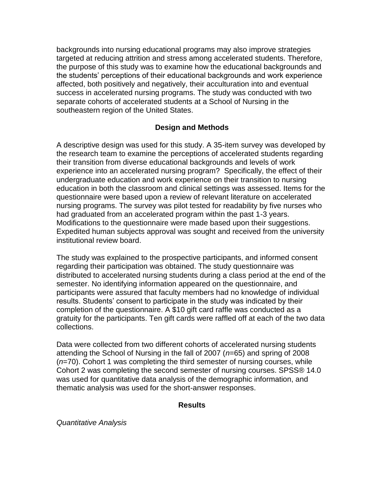backgrounds into nursing educational programs may also improve strategies targeted at reducing attrition and stress among accelerated students. Therefore, the purpose of this study was to examine how the educational backgrounds and the students' perceptions of their educational backgrounds and work experience affected, both positively and negatively, their acculturation into and eventual success in accelerated nursing programs. The study was conducted with two separate cohorts of accelerated students at a School of Nursing in the southeastern region of the United States.

### **Design and Methods**

A descriptive design was used for this study. A 35-item survey was developed by the research team to examine the perceptions of accelerated students regarding their transition from diverse educational backgrounds and levels of work experience into an accelerated nursing program? Specifically, the effect of their undergraduate education and work experience on their transition to nursing education in both the classroom and clinical settings was assessed. Items for the questionnaire were based upon a review of relevant literature on accelerated nursing programs. The survey was pilot tested for readability by five nurses who had graduated from an accelerated program within the past 1-3 years. Modifications to the questionnaire were made based upon their suggestions. Expedited human subjects approval was sought and received from the university institutional review board.

The study was explained to the prospective participants, and informed consent regarding their participation was obtained. The study questionnaire was distributed to accelerated nursing students during a class period at the end of the semester. No identifying information appeared on the questionnaire, and participants were assured that faculty members had no knowledge of individual results. Students' consent to participate in the study was indicated by their completion of the questionnaire. A \$10 gift card raffle was conducted as a gratuity for the participants. Ten gift cards were raffled off at each of the two data collections.

Data were collected from two different cohorts of accelerated nursing students attending the School of Nursing in the fall of 2007 (*n*=65) and spring of 2008 (*n*=70). Cohort 1 was completing the third semester of nursing courses, while Cohort 2 was completing the second semester of nursing courses. SPSS® 14.0 was used for quantitative data analysis of the demographic information, and thematic analysis was used for the short-answer responses.

### **Results**

*Quantitative Analysis*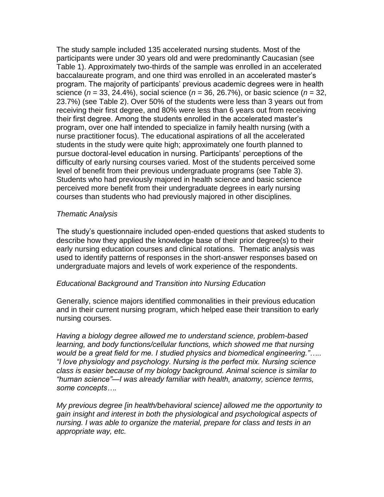The study sample included 135 accelerated nursing students. Most of the participants were under 30 years old and were predominantly Caucasian (see Table 1). Approximately two-thirds of the sample was enrolled in an accelerated baccalaureate program, and one third was enrolled in an accelerated master's program. The majority of participants' previous academic degrees were in health science (*n* = 33, 24.4%), social science (*n* = 36, 26.7%), or basic science (*n* = 32, 23.7%) (see Table 2). Over 50% of the students were less than 3 years out from receiving their first degree, and 80% were less than 6 years out from receiving their first degree. Among the students enrolled in the accelerated master's program, over one half intended to specialize in family health nursing (with a nurse practitioner focus). The educational aspirations of all the accelerated students in the study were quite high; approximately one fourth planned to pursue doctoral-level education in nursing. Participants' perceptions of the difficulty of early nursing courses varied. Most of the students perceived some level of benefit from their previous undergraduate programs (see Table 3). Students who had previously majored in health science and basic science perceived more benefit from their undergraduate degrees in early nursing courses than students who had previously majored in other disciplines.

### *Thematic Analysis*

The study's questionnaire included open-ended questions that asked students to describe how they applied the knowledge base of their prior degree(s) to their early nursing education courses and clinical rotations. Thematic analysis was used to identify patterns of responses in the short-answer responses based on undergraduate majors and levels of work experience of the respondents.

### *Educational Background and Transition into Nursing Education*

Generally, science majors identified commonalities in their previous education and in their current nursing program, which helped ease their transition to early nursing courses.

*Having a biology degree allowed me to understand science, problem-based learning, and body functions/cellular functions, which showed me that nursing would be a great field for me. I studied physics and biomedical engineering."….. "I love physiology and psychology. Nursing is the perfect mix. Nursing science class is easier because of my biology background. Animal science is similar to "human science"—I was already familiar with health, anatomy, science terms, some concepts….*

*My previous degree [in health/behavioral science] allowed me the opportunity to gain insight and interest in both the physiological and psychological aspects of nursing. I was able to organize the material, prepare for class and tests in an appropriate way, etc.*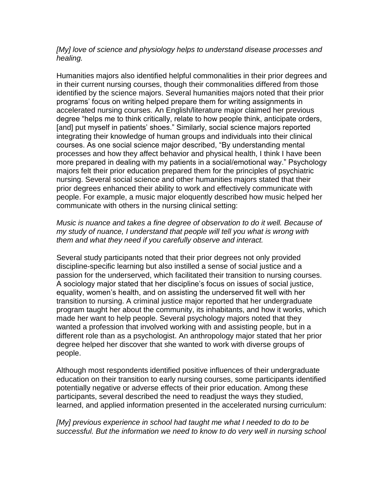#### *[My] love of science and physiology helps to understand disease processes and healing.*

Humanities majors also identified helpful commonalities in their prior degrees and in their current nursing courses, though their commonalities differed from those identified by the science majors. Several humanities majors noted that their prior programs' focus on writing helped prepare them for writing assignments in accelerated nursing courses. An English/literature major claimed her previous degree "helps me to think critically, relate to how people think, anticipate orders, [and] put myself in patients' shoes." Similarly, social science majors reported integrating their knowledge of human groups and individuals into their clinical courses. As one social science major described, "By understanding mental processes and how they affect behavior and physical health, I think I have been more prepared in dealing with my patients in a social/emotional way." Psychology majors felt their prior education prepared them for the principles of psychiatric nursing. Several social science and other humanities majors stated that their prior degrees enhanced their ability to work and effectively communicate with people. For example, a music major eloquently described how music helped her communicate with others in the nursing clinical setting:

#### *Music is nuance and takes a fine degree of observation to do it well. Because of my study of nuance, I understand that people will tell you what is wrong with them and what they need if you carefully observe and interact.*

Several study participants noted that their prior degrees not only provided discipline-specific learning but also instilled a sense of social justice and a passion for the underserved, which facilitated their transition to nursing courses. A sociology major stated that her discipline's focus on issues of social justice, equality, women's health, and on assisting the underserved fit well with her transition to nursing. A criminal justice major reported that her undergraduate program taught her about the community, its inhabitants, and how it works, which made her want to help people. Several psychology majors noted that they wanted a profession that involved working with and assisting people, but in a different role than as a psychologist. An anthropology major stated that her prior degree helped her discover that she wanted to work with diverse groups of people.

Although most respondents identified positive influences of their undergraduate education on their transition to early nursing courses, some participants identified potentially negative or adverse effects of their prior education. Among these participants, several described the need to readjust the ways they studied, learned, and applied information presented in the accelerated nursing curriculum:

*[My] previous experience in school had taught me what I needed to do to be successful. But the information we need to know to do very well in nursing school*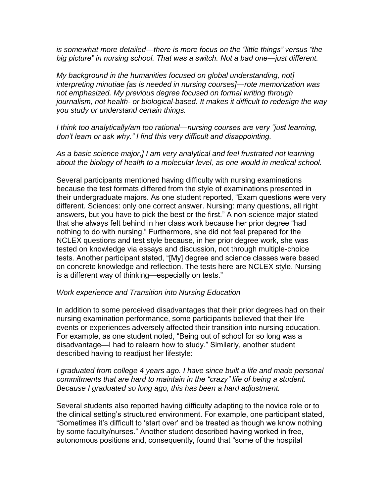*is somewhat more detailed—there is more focus on the "little things" versus "the big picture" in nursing school. That was a switch. Not a bad one—just different.*

*My background in the humanities focused on global understanding, not] interpreting minutiae [as is needed in nursing courses]—rote memorization was not emphasized. My previous degree focused on formal writing through journalism, not health- or biological-based. It makes it difficult to redesign the way you study or understand certain things.*

*I think too analytically/am too rational—nursing courses are very "just learning, don't learn or ask why." I find this very difficult and disappointing.*

*As a basic science major,] I am very analytical and feel frustrated not learning about the biology of health to a molecular level, as one would in medical school.*

Several participants mentioned having difficulty with nursing examinations because the test formats differed from the style of examinations presented in their undergraduate majors. As one student reported, "Exam questions were very different. Sciences: only one correct answer. Nursing: many questions, all right answers, but you have to pick the best or the first.‖ A non-science major stated that she always felt behind in her class work because her prior degree "had nothing to do with nursing." Furthermore, she did not feel prepared for the NCLEX questions and test style because, in her prior degree work, she was tested on knowledge via essays and discussion, not through multiple-choice tests. Another participant stated, "[My] degree and science classes were based on concrete knowledge and reflection. The tests here are NCLEX style. Nursing is a different way of thinking—especially on tests."

#### *Work experience and Transition into Nursing Education*

In addition to some perceived disadvantages that their prior degrees had on their nursing examination performance, some participants believed that their life events or experiences adversely affected their transition into nursing education. For example, as one student noted, "Being out of school for so long was a disadvantage—I had to relearn how to study.‖ Similarly, another student described having to readjust her lifestyle:

#### *I graduated from college 4 years ago. I have since built a life and made personal commitments that are hard to maintain in the "crazy" life of being a student. Because I graduated so long ago, this has been a hard adjustment.*

Several students also reported having difficulty adapting to the novice role or to the clinical setting's structured environment. For example, one participant stated, ―Sometimes it's difficult to ‗start over' and be treated as though we know nothing by some faculty/nurses." Another student described having worked in free, autonomous positions and, consequently, found that "some of the hospital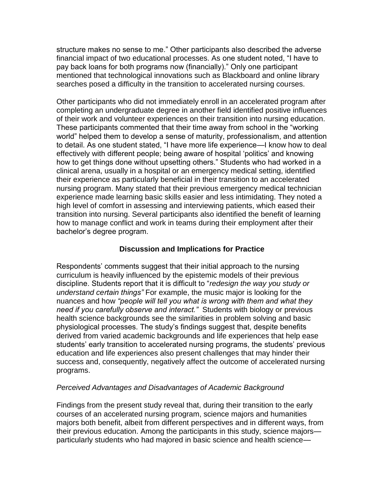structure makes no sense to me." Other participants also described the adverse financial impact of two educational processes. As one student noted, "I have to pay back loans for both programs now (financially).‖ Only one participant mentioned that technological innovations such as Blackboard and online library searches posed a difficulty in the transition to accelerated nursing courses.

Other participants who did not immediately enroll in an accelerated program after completing an undergraduate degree in another field identified positive influences of their work and volunteer experiences on their transition into nursing education. These participants commented that their time away from school in the "working" world" helped them to develop a sense of maturity, professionalism, and attention to detail. As one student stated, "I have more life experience—I know how to deal effectively with different people; being aware of hospital 'politics' and knowing how to get things done without upsetting others." Students who had worked in a clinical arena, usually in a hospital or an emergency medical setting, identified their experience as particularly beneficial in their transition to an accelerated nursing program. Many stated that their previous emergency medical technician experience made learning basic skills easier and less intimidating. They noted a high level of comfort in assessing and interviewing patients, which eased their transition into nursing. Several participants also identified the benefit of learning how to manage conflict and work in teams during their employment after their bachelor's degree program.

# **Discussion and Implications for Practice**

Respondents' comments suggest that their initial approach to the nursing curriculum is heavily influenced by the epistemic models of their previous discipline. Students report that it is difficult to "*redesign the way you study or understand certain things"* For example, the music major is looking for the nuances and how *"people will tell you what is wrong with them and what they need if you carefully observe and interact."* Students with biology or previous health science backgrounds see the similarities in problem solving and basic physiological processes. The study's findings suggest that, despite benefits derived from varied academic backgrounds and life experiences that help ease students' early transition to accelerated nursing programs, the students' previous education and life experiences also present challenges that may hinder their success and, consequently, negatively affect the outcome of accelerated nursing programs.

### *Perceived Advantages and Disadvantages of Academic Background*

Findings from the present study reveal that, during their transition to the early courses of an accelerated nursing program, science majors and humanities majors both benefit, albeit from different perspectives and in different ways, from their previous education. Among the participants in this study, science majors particularly students who had majored in basic science and health science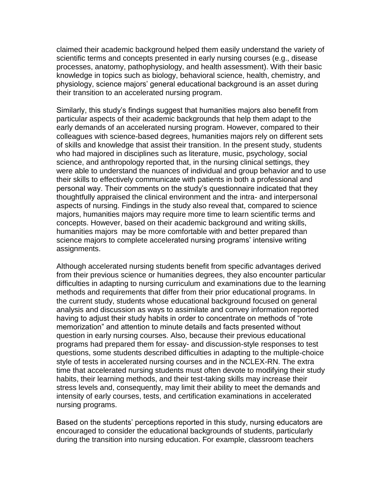claimed their academic background helped them easily understand the variety of scientific terms and concepts presented in early nursing courses (e.g., disease processes, anatomy, pathophysiology, and health assessment). With their basic knowledge in topics such as biology, behavioral science, health, chemistry, and physiology, science majors' general educational background is an asset during their transition to an accelerated nursing program.

Similarly, this study's findings suggest that humanities majors also benefit from particular aspects of their academic backgrounds that help them adapt to the early demands of an accelerated nursing program. However, compared to their colleagues with science-based degrees, humanities majors rely on different sets of skills and knowledge that assist their transition. In the present study, students who had majored in disciplines such as literature, music, psychology, social science, and anthropology reported that, in the nursing clinical settings, they were able to understand the nuances of individual and group behavior and to use their skills to effectively communicate with patients in both a professional and personal way. Their comments on the study's questionnaire indicated that they thoughtfully appraised the clinical environment and the intra- and interpersonal aspects of nursing. Findings in the study also reveal that, compared to science majors, humanities majors may require more time to learn scientific terms and concepts. However, based on their academic background and writing skills, humanities majors may be more comfortable with and better prepared than science majors to complete accelerated nursing programs' intensive writing assignments.

Although accelerated nursing students benefit from specific advantages derived from their previous science or humanities degrees, they also encounter particular difficulties in adapting to nursing curriculum and examinations due to the learning methods and requirements that differ from their prior educational programs. In the current study, students whose educational background focused on general analysis and discussion as ways to assimilate and convey information reported having to adjust their study habits in order to concentrate on methods of "rote memorization" and attention to minute details and facts presented without question in early nursing courses. Also, because their previous educational programs had prepared them for essay- and discussion-style responses to test questions, some students described difficulties in adapting to the multiple-choice style of tests in accelerated nursing courses and in the NCLEX-RN. The extra time that accelerated nursing students must often devote to modifying their study habits, their learning methods, and their test-taking skills may increase their stress levels and, consequently, may limit their ability to meet the demands and intensity of early courses, tests, and certification examinations in accelerated nursing programs.

Based on the students' perceptions reported in this study, nursing educators are encouraged to consider the educational backgrounds of students, particularly during the transition into nursing education. For example, classroom teachers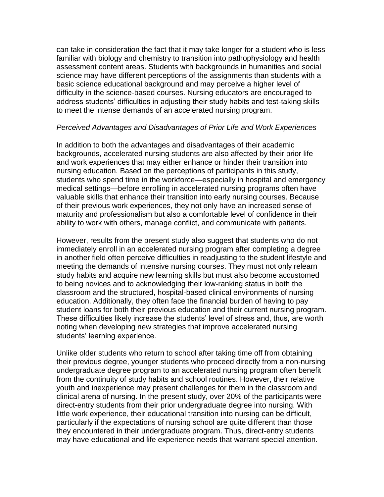can take in consideration the fact that it may take longer for a student who is less familiar with biology and chemistry to transition into pathophysiology and health assessment content areas. Students with backgrounds in humanities and social science may have different perceptions of the assignments than students with a basic science educational background and may perceive a higher level of difficulty in the science-based courses. Nursing educators are encouraged to address students' difficulties in adjusting their study habits and test-taking skills to meet the intense demands of an accelerated nursing program.

#### *Perceived Advantages and Disadvantages of Prior Life and Work Experiences*

In addition to both the advantages and disadvantages of their academic backgrounds, accelerated nursing students are also affected by their prior life and work experiences that may either enhance or hinder their transition into nursing education. Based on the perceptions of participants in this study, students who spend time in the workforce—especially in hospital and emergency medical settings—before enrolling in accelerated nursing programs often have valuable skills that enhance their transition into early nursing courses. Because of their previous work experiences, they not only have an increased sense of maturity and professionalism but also a comfortable level of confidence in their ability to work with others, manage conflict, and communicate with patients.

However, results from the present study also suggest that students who do not immediately enroll in an accelerated nursing program after completing a degree in another field often perceive difficulties in readjusting to the student lifestyle and meeting the demands of intensive nursing courses. They must not only relearn study habits and acquire new learning skills but must also become accustomed to being novices and to acknowledging their low-ranking status in both the classroom and the structured, hospital-based clinical environments of nursing education. Additionally, they often face the financial burden of having to pay student loans for both their previous education and their current nursing program. These difficulties likely increase the students' level of stress and, thus, are worth noting when developing new strategies that improve accelerated nursing students' learning experience.

Unlike older students who return to school after taking time off from obtaining their previous degree, younger students who proceed directly from a non-nursing undergraduate degree program to an accelerated nursing program often benefit from the continuity of study habits and school routines. However, their relative youth and inexperience may present challenges for them in the classroom and clinical arena of nursing. In the present study, over 20% of the participants were direct-entry students from their prior undergraduate degree into nursing. With little work experience, their educational transition into nursing can be difficult, particularly if the expectations of nursing school are quite different than those they encountered in their undergraduate program. Thus, direct-entry students may have educational and life experience needs that warrant special attention.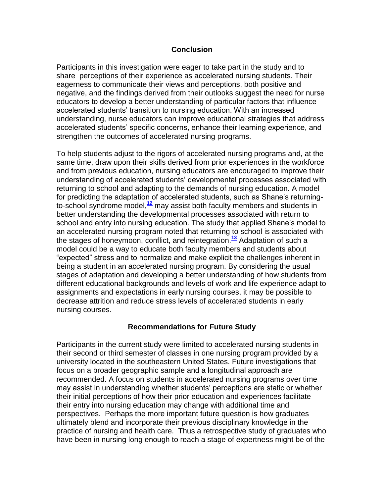#### **Conclusion**

Participants in this investigation were eager to take part in the study and to share perceptions of their experience as accelerated nursing students. Their eagerness to communicate their views and perceptions, both positive and negative, and the findings derived from their outlooks suggest the need for nurse educators to develop a better understanding of particular factors that influence accelerated students' transition to nursing education. With an increased understanding, nurse educators can improve educational strategies that address accelerated students' specific concerns, enhance their learning experience, and strengthen the outcomes of accelerated nursing programs.

To help students adjust to the rigors of accelerated nursing programs and, at the same time, draw upon their skills derived from prior experiences in the workforce and from previous education, nursing educators are encouraged to improve their understanding of accelerated students' developmental processes associated with returning to school and adapting to the demands of nursing education. A model for predicting the adaptation of accelerated students, such as Shane's returningto-school syndrome model,**[12](http://snrs.org/publications/SOJNR_articles2/n)** may assist both faculty members and students in better understanding the developmental processes associated with return to school and entry into nursing education. The study that applied Shane's model to an accelerated nursing program noted that returning to school is associated with the stages of honeymoon, conflict, and reintegration.**[13](http://snrs.org/publications/SOJNR_articles2/n)** Adaptation of such a model could be a way to educate both faculty members and students about ―expected‖ stress and to normalize and make explicit the challenges inherent in being a student in an accelerated nursing program. By considering the usual stages of adaptation and developing a better understanding of how students from different educational backgrounds and levels of work and life experience adapt to assignments and expectations in early nursing courses, it may be possible to decrease attrition and reduce stress levels of accelerated students in early nursing courses.

### **Recommendations for Future Study**

Participants in the current study were limited to accelerated nursing students in their second or third semester of classes in one nursing program provided by a university located in the southeastern United States. Future investigations that focus on a broader geographic sample and a longitudinal approach are recommended. A focus on students in accelerated nursing programs over time may assist in understanding whether students' perceptions are static or whether their initial perceptions of how their prior education and experiences facilitate their entry into nursing education may change with additional time and perspectives. Perhaps the more important future question is how graduates ultimately blend and incorporate their previous disciplinary knowledge in the practice of nursing and health care. Thus a retrospective study of graduates who have been in nursing long enough to reach a stage of expertness might be of the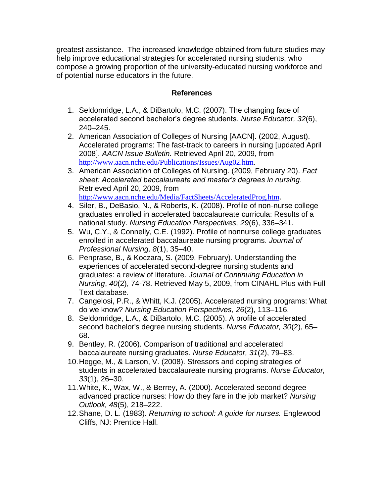greatest assistance. The increased knowledge obtained from future studies may help improve educational strategies for accelerated nursing students, who compose a growing proportion of the university-educated nursing workforce and of potential nurse educators in the future.

# **References**

- 1. Seldomridge, L.A., & DiBartolo, M.C. (2007). The changing face of accelerated second bachelor's degree students. *Nurse Educator, 32*(6), 240–245.
- 2. American Association of Colleges of Nursing [AACN]. (2002, August). Accelerated programs: The fast-track to careers in nursing [updated April 2008]. *AACN Issue Bulletin.* Retrieved April 20, 2009, from <http://www.aacn.nche.edu/Publications/Issues/Aug02.htm>.
- 3. American Association of Colleges of Nursing. (2009, February 20). *Fact sheet: Accelerated baccalaureate and master's degrees in nursing*. Retrieved April 20, 2009, from <http://www.aacn.nche.edu/Media/FactSheets/AcceleratedProg.htm>.
- 4. Siler, B., DeBasio, N., & Roberts, K. (2008). Profile of non-nurse college graduates enrolled in accelerated baccalaureate curricula: Results of a national study. *Nursing Education Perspectives, 29*(6), 336–341.
- 5. Wu, C.Y., & Connelly, C.E. (1992). Profile of nonnurse college graduates enrolled in accelerated baccalaureate nursing programs. *Journal of Professional Nursing, 8*(1), 35–40.
- 6. Penprase, B., & Koczara, S. (2009, February). Understanding the experiences of accelerated second-degree nursing students and graduates: a review of literature. *Journal of Continuing Education in Nursing*, *40*(2), 74-78. Retrieved May 5, 2009, from CINAHL Plus with Full Text database.
- 7. Cangelosi, P.R., & Whitt, K.J. (2005). Accelerated nursing programs: What do we know? *Nursing Education Perspectives, 26*(2), 113–116.
- 8. Seldomridge, L.A., & DiBartolo, M.C. (2005). A profile of accelerated second bachelor's degree nursing students. *Nurse Educator, 30*(2), 65– 68.
- 9. Bentley, R. (2006). Comparison of traditional and accelerated baccalaureate nursing graduates. *Nurse Educator, 31*(2), 79–83.
- 10.Hegge, M., & Larson, V. (2008). Stressors and coping strategies of students in accelerated baccalaureate nursing programs. *Nurse Educator, 33*(1), 26–30.
- 11.White, K., Wax, W., & Berrey, A. (2000). Accelerated second degree advanced practice nurses: How do they fare in the job market? *Nursing Outlook, 48*(5), 218–222.
- 12.Shane, D. L. (1983). *Returning to school: A guide for nurses.* Englewood Cliffs, NJ: Prentice Hall.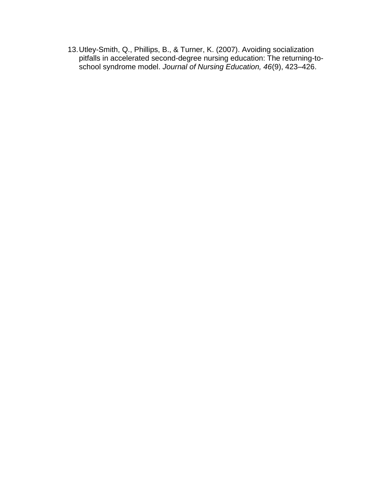13.Utley-Smith, Q., Phillips, B., & Turner, K. (2007). Avoiding socialization pitfalls in accelerated second-degree nursing education: The returning-toschool syndrome model. *Journal of Nursing Education, 46*(9), 423–426.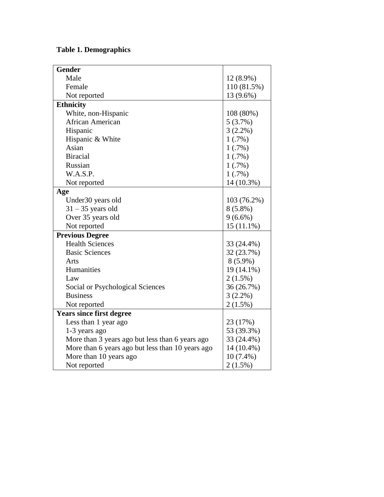# **Table 1. Demographics**

| <b>Gender</b>                                    |              |
|--------------------------------------------------|--------------|
| Male                                             | 12 (8.9%)    |
| Female                                           | 110 (81.5%)  |
| Not reported                                     | 13 (9.6%)    |
| <b>Ethnicity</b>                                 |              |
| White, non-Hispanic                              | 108 (80%)    |
| African American                                 | 5(3.7%)      |
| Hispanic                                         | $3(2.2\%)$   |
| Hispanic & White                                 | 1(.7%)       |
| Asian                                            | 1(.7%)       |
| <b>Biracial</b>                                  | $1(.7\%)$    |
| Russian                                          | 1(.7%)       |
| W.A.S.P.                                         | 1(.7%)       |
| Not reported                                     | 14 (10.3%)   |
| Age                                              |              |
| Under30 years old                                | 103 (76.2%)  |
| $31 - 35$ years old                              | $8(5.8\%)$   |
| Over 35 years old                                | $9(6.6\%)$   |
| Not reported                                     | $15(11.1\%)$ |
| <b>Previous Degree</b>                           |              |
| <b>Health Sciences</b>                           | 33 (24.4%)   |
| <b>Basic Sciences</b>                            | 32 (23.7%)   |
| Arts                                             | $8(5.9\%)$   |
| Humanities                                       | 19 (14.1%)   |
| Law                                              | $2(1.5\%)$   |
| Social or Psychological Sciences                 | 36 (26.7%)   |
| <b>Business</b>                                  | $3(2.2\%)$   |
| Not reported                                     | $2(1.5\%)$   |
| <b>Years since first degree</b>                  |              |
| Less than 1 year ago                             | 23 (17%)     |
| 1-3 years ago                                    | 53 (39.3%)   |
| More than 3 years ago but less than 6 years ago  | 33 (24.4%)   |
| More than 6 years ago but less than 10 years ago | 14 (10.4%)   |
| More than 10 years ago                           | $10(7.4\%)$  |
| Not reported                                     | $2(1.5\%)$   |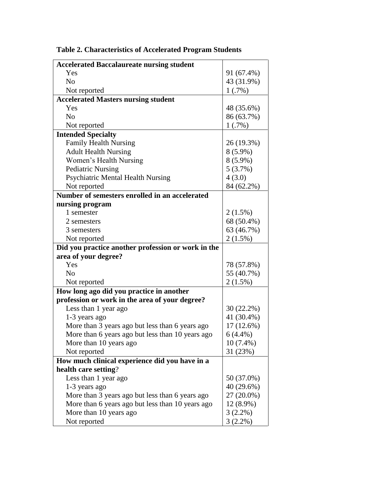| <b>Accelerated Baccalaureate nursing student</b>   |                          |
|----------------------------------------------------|--------------------------|
| Yes                                                | 91 (67.4%)               |
| N <sub>0</sub>                                     | 43 (31.9%)               |
| Not reported                                       | 1(.7%)                   |
| <b>Accelerated Masters nursing student</b>         |                          |
| Yes                                                | 48 (35.6%)               |
| N <sub>0</sub>                                     | 86 (63.7%)               |
| Not reported                                       | 1(.7%)                   |
| <b>Intended Specialty</b>                          |                          |
| <b>Family Health Nursing</b>                       | 26 (19.3%)               |
| <b>Adult Health Nursing</b>                        | $8(5.9\%)$               |
| Women's Health Nursing                             | $8(5.9\%)$               |
| <b>Pediatric Nursing</b>                           | 5(3.7%)                  |
| <b>Psychiatric Mental Health Nursing</b>           | 4(3.0)                   |
| Not reported                                       | 84 (62.2%)               |
| Number of semesters enrolled in an accelerated     |                          |
| nursing program                                    |                          |
| 1 semester                                         | $2(1.5\%)$               |
| 2 semesters                                        | 68 (50.4%)               |
| 3 semesters                                        | 63 (46.7%)               |
| Not reported                                       | 2(1.5%)                  |
|                                                    |                          |
| Did you practice another profession or work in the |                          |
| area of your degree?                               |                          |
| Yes                                                | 78 (57.8%)               |
| N <sub>0</sub>                                     | 55 (40.7%)               |
| Not reported                                       | $2(1.5\%)$               |
| How long ago did you practice in another           |                          |
| profession or work in the area of your degree?     |                          |
| Less than 1 year ago                               | 30 (22.2%)               |
| 1-3 years ago                                      | 41 (30.4%)               |
| More than 3 years ago but less than 6 years ago    | 17 (12.6%)               |
| More than 6 years ago but less than 10 years ago   | $6(4.4\%)$               |
| More than 10 years ago                             | $10(7.4\%)$              |
| Not reported                                       | 31 (23%)                 |
| How much clinical experience did you have in a     |                          |
| health care setting?                               |                          |
| Less than 1 year ago                               | 50 (37.0%)               |
| 1-3 years ago                                      | 40 (29.6%)               |
| More than 3 years ago but less than 6 years ago    | 27 (20.0%)               |
| More than 6 years ago but less than 10 years ago   | 12 (8.9%)                |
| More than 10 years ago<br>Not reported             | $3(2.2\%)$<br>$3(2.2\%)$ |

**Table 2. Characteristics of Accelerated Program Students**